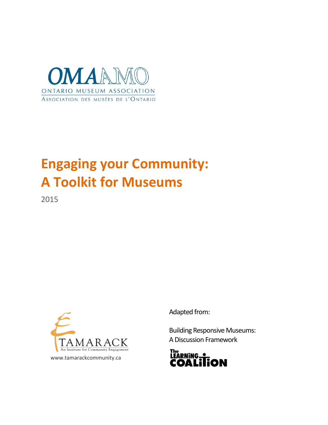

# **Engaging your Community: A Toolkit for Museums**

2015



Adapted from:

Building Responsive Museums: A Discussion Framework

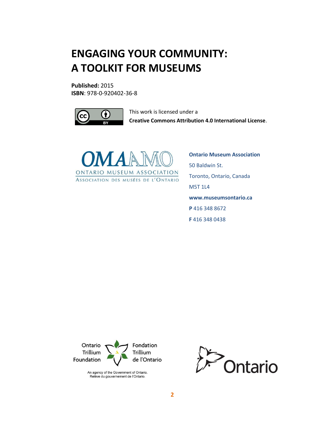# **ENGAGING YOUR COMMUNITY: A TOOLKIT FOR MUSEUMS**

**Published:** 2015 **ISBN**: 978-0-920402-36-8



This work is licensed under a **Creative Commons Attribution 4.0 International License**.



**Ontario Museum Association** 50 Baldwin St. Toronto, Ontario, Canada M5T 1L4 **www.museumsontario.ca P** 416 348 8672 **F** 416 348 0438



An agency of the Government of Ontario. Relève du gouvernement de l'Ontario.

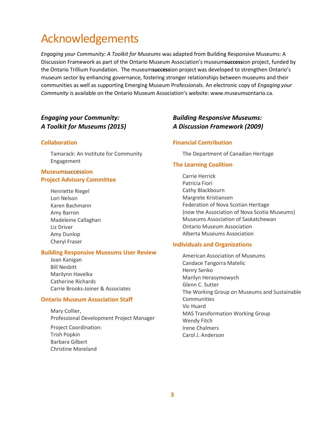# Acknowledgements

*Engaging your Community: A Toolkit for Museums* was adapted from Building Responsive Museums: A Discussion Framework as part of the Ontario Museum Association's museum**success**ion project, funded by the Ontario Trillium Foundation. The museum**success**ion project was developed to strengthen Ontario's museum sector by enhancing governance, fostering stronger relationships between museums and their communities as well as supporting Emerging Museum Professionals. An electronic copy of *Engaging your Community* is available on the Ontario Museum Association's website: www.museumsontario.ca.

# *Engaging your Community: A Toolkit for Museums (2015)*

#### **Collaboration**

Tamarack: An Institute for Community Engagement

# **Museumsuccession Project Advisory Committee**

Henriette Riegel Lori Nelson Karen Bachmann Amy Barron Madeleine Callaghan Liz Driver Amy Dunlop Cheryl Fraser

#### **Building Responsive Museums User Review**

Joan Kanigan Bill Nesbitt Marilynn Havelka Catherine Richards Carrie Brooks-Joiner & Associates

### **Ontario Museum Association Staff**

Mary Collier, Professional Development Project Manager

Project Coordination: Trish Popkin Barbara Gilbert Christine Moreland

# *Building Responsive Museums: A Discussion Framework (2009)*

### **Financial Contribution**

The Department of Canadian Heritage

### **The Learning Coalition**

Carrie Herrick Patricia Fiori Cathy Blackbourn Margrete Kristiansen Federation of Nova Scotian Heritage (now the Association of Nova Scotia Museums) Museums Association of Saskatchewan Ontario Museum Association Alberta Museums Association

#### **Individuals and Organizations**

American Association of Museums Candace Tangorra Matelic Henry Senko Marilyn Herasymowych Glenn C. Sutter The Working Group on Museums and Sustainable Communities Vic Huard MAS Transformation Working Group Wendy Fitch Irene Chalmers Carol J. Anderson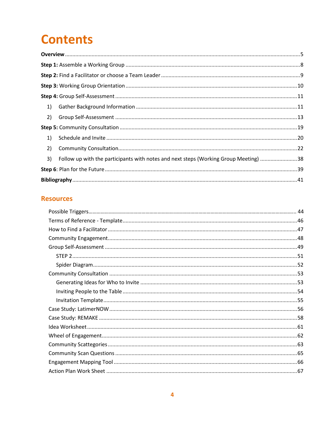# **Contents**

| 1) |                                                                                      |  |
|----|--------------------------------------------------------------------------------------|--|
| 2) |                                                                                      |  |
|    |                                                                                      |  |
| 1) |                                                                                      |  |
| 2) |                                                                                      |  |
| 3) | Follow up with the participants with notes and next steps (Working Group Meeting) 38 |  |
|    |                                                                                      |  |
|    |                                                                                      |  |

# **Resources**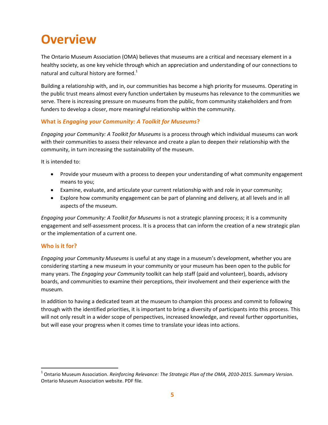# **Overview**

The Ontario Museum Association (OMA) believes that museums are a critical and necessary element in a healthy society, as one key vehicle through which an appreciation and understanding of our connections to natural and cultural history are formed. $1$ 

Building a relationship with, and in, our communities has become a high priority for museums. Operating in the public trust means almost every function undertaken by museums has relevance to the communities we serve. There is increasing pressure on museums from the public, from community stakeholders and from funders to develop a closer, more meaningful relationship within the community.

# **What is** *Engaging your Community: A Toolkit for Museums***?**

*Engaging your Community: A Toolkit for Museums* is a process through which individual museums can work with their communities to assess their relevance and create a plan to deepen their relationship with the community, in turn increasing the sustainability of the museum.

It is intended to:

- Provide your museum with a process to deepen your understanding of what community engagement means to you;
- Examine, evaluate, and articulate your current relationship with and role in your community;
- Explore how community engagement can be part of planning and delivery, at all levels and in all aspects of the museum.

*Engaging your Community: A Toolkit for Museums* is not a strategic planning process; it is a community engagement and self-assessment process. It is a process that can inform the creation of a new strategic plan or the implementation of a current one.

## **Who is it for?**

 $\overline{\phantom{a}}$ 

*Engaging your Community Museums* is useful at any stage in a museum's development, whether you are considering starting a new museum in your community or your museum has been open to the public for many years. The *Engaging your Community* toolkit can help staff (paid and volunteer), boards, advisory boards, and communities to examine their perceptions, their involvement and their experience with the museum.

In addition to having a dedicated team at the museum to champion this process and commit to following through with the identified priorities, it is important to bring a diversity of participants into this process. This will not only result in a wider scope of perspectives, increased knowledge, and reveal further opportunities, but will ease your progress when it comes time to translate your ideas into actions.

<sup>1</sup> Ontario Museum Association. *Reinforcing Relevance: The Strategic Plan of the OMA, 2010-2015. Summary Version*. Ontario Museum Association website. PDF file.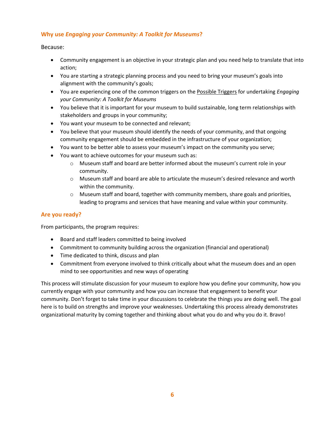# **Why use** *Engaging your Community: A Toolkit for Museums***?**

### Because:

- Community engagement is an objective in your strategic plan and you need help to translate that into action;
- You are starting a strategic planning process and you need to bring your museum's goals into alignment with the community's goals;
- You are experiencing one of the common triggers on th[e Possible Triggers](https://members.museumsontario.ca/sites/default/files/members/members/museumSUCCESSion/Resources/Possible%20Triggers.pdf) for undertaking *Engaging your Community: A Toolkit for Museums*
- You believe that it is important for your museum to build sustainable, long term relationships with stakeholders and groups in your community;
- You want your museum to be connected and relevant;
- You believe that your museum should identify the needs of your community, and that ongoing community engagement should be embedded in the infrastructure of your organization;
- You want to be better able to assess your museum's impact on the community you serve;
- You want to achieve outcomes for your museum such as:
	- o Museum staff and board are better informed about the museum's current role in your community.
	- o Museum staff and board are able to articulate the museum's desired relevance and worth within the community.
	- o Museum staff and board, together with community members, share goals and priorities, leading to programs and services that have meaning and value within your community.

# **Are you ready?**

From participants, the program requires:

- Board and staff leaders committed to being involved
- Commitment to community building across the organization (financial and operational)
- Time dedicated to think, discuss and plan
- Commitment from everyone involved to think critically about what the museum does and an open mind to see opportunities and new ways of operating

This process will stimulate discussion for your museum to explore how you define your community, how you currently engage with your community and how you can increase that engagement to benefit your community. Don't forget to take time in your discussions to celebrate the things you are doing well. The goal here is to build on strengths and improve your weaknesses. Undertaking this process already demonstrates organizational maturity by coming together and thinking about what you do and why you do it. Bravo!